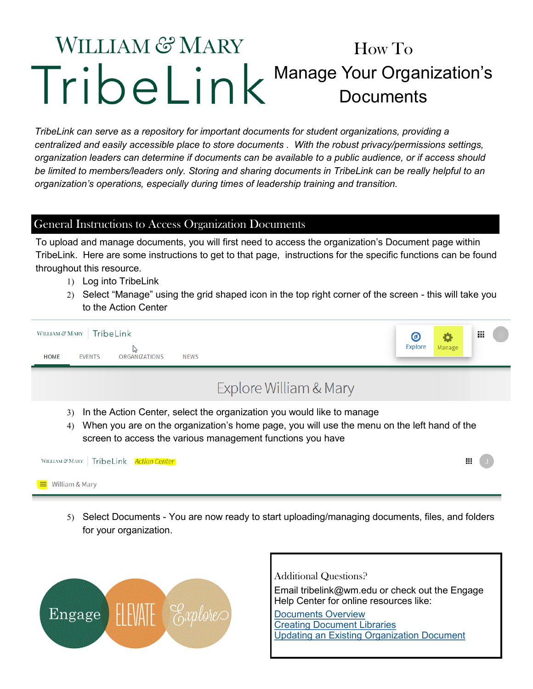## WILLIAM & MARY How To Manage Your Organization's **Documents**

*TribeLink can serve as a repository for important documents for student organizations, providing a centralized and easily accessible place to store documents . With the robust privacy/permissions settings, organization leaders can determine if documents can be available to a public audience, or if access should be limited to members/leaders only. Storing and sharing documents in TribeLink can be really helpful to an organization's operations, especially during times of leadership training and transition.* 

## General Instructions to Access Organization Documents

To upload and manage documents, you will first need to access the organization's Document page within TribeLink. Here are some instructions to get to that page, instructions for the specific functions can be found throughout this resource.

- 1) Log into TribeLink
- Select "Manage" using the grid shaped icon in the top right corner of the screen this will take you to the Action Center

| TribeLink<br>WILLIAM $\mathcal C\!\!\!\!\!\mathcal C$ MARY<br><b>ORGANIZATIONS</b><br><b>HOME</b><br><b>EVENTS</b><br><b>NEWS</b>                                                                                                               | O<br><b>Explore</b> | Manage | <br><br> |  |  |  |  |
|-------------------------------------------------------------------------------------------------------------------------------------------------------------------------------------------------------------------------------------------------|---------------------|--------|----------|--|--|--|--|
| Explore William & Mary                                                                                                                                                                                                                          |                     |        |          |  |  |  |  |
| In the Action Center, select the organization you would like to manage<br>3)<br>When you are on the organization's home page, you will use the menu on the left hand of the<br>4)<br>screen to access the various management functions you have |                     |        |          |  |  |  |  |
| TribeLink Action Center<br>WILLIAM $\mathcal C$ MARY                                                                                                                                                                                            |                     |        | ш        |  |  |  |  |
| William & Mary<br>$\equiv$                                                                                                                                                                                                                      |                     |        |          |  |  |  |  |

 Select Documents - You are now ready to start uploading/managing documents, files, and folders for your organization.